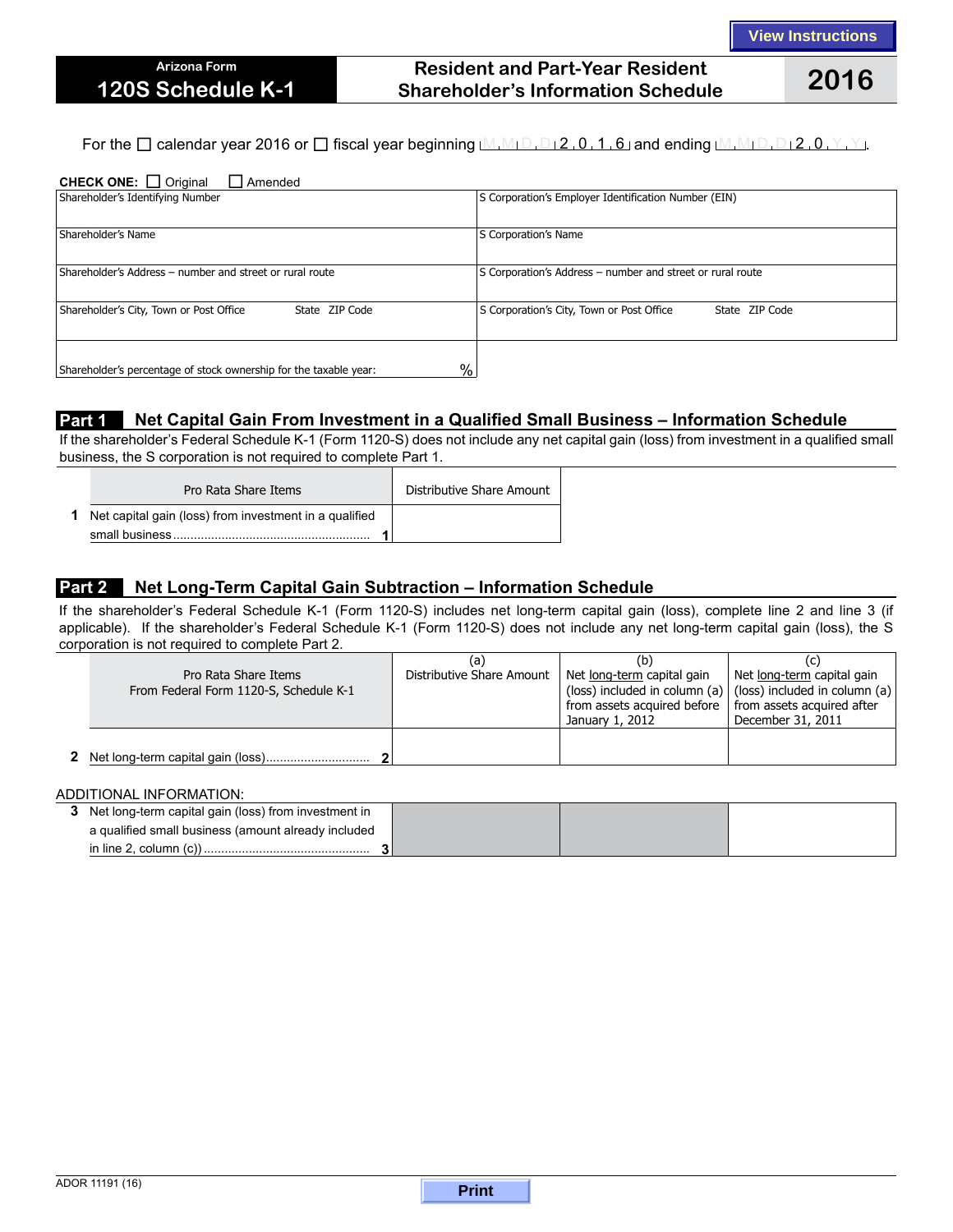# **Resident and Part-Year Resident Shareholder's Information Schedule 2016**

For the  $\Box$  calendar year 2016 or  $\Box$  fiscal year beginning  $M_1M_1D_1D_2$ , 0, 1, 6 and ending  $M_1M_1D_1D_12$ , 0,  $Y_1Y_2$ .

| <b>CHECK ONE:</b> $\Box$ Original<br>$\Box$ Amended                                |                                                             |  |  |  |  |  |
|------------------------------------------------------------------------------------|-------------------------------------------------------------|--|--|--|--|--|
| Shareholder's Identifying Number                                                   | S Corporation's Employer Identification Number (EIN)        |  |  |  |  |  |
|                                                                                    |                                                             |  |  |  |  |  |
| Shareholder's Name                                                                 | S Corporation's Name                                        |  |  |  |  |  |
|                                                                                    |                                                             |  |  |  |  |  |
| Shareholder's Address – number and street or rural route                           | S Corporation's Address - number and street or rural route  |  |  |  |  |  |
|                                                                                    |                                                             |  |  |  |  |  |
| Shareholder's City, Town or Post Office<br>State ZIP Code                          | S Corporation's City, Town or Post Office<br>State ZIP Code |  |  |  |  |  |
|                                                                                    |                                                             |  |  |  |  |  |
|                                                                                    |                                                             |  |  |  |  |  |
| $\frac{0}{0}$<br>Shareholder's percentage of stock ownership for the taxable year: |                                                             |  |  |  |  |  |

# **Part 1** Net Capital Gain From Investment in a Qualified Small Business - Information Schedule

If the shareholder's Federal Schedule K-1 (Form 1120-S) does not include any net capital gain (loss) from investment in a qualified small business, the S corporation is not required to complete Part 1.

| Pro Rata Share Items                                            | Distributive Share Amount |
|-----------------------------------------------------------------|---------------------------|
| <b>1</b> Net capital gain (loss) from investment in a qualified |                           |
|                                                                 |                           |

# **Part 2 Net Long-Term Capital Gain Subtraction – Information Schedule**

If the shareholder's Federal Schedule K-1 (Form 1120-S) includes net long-term capital gain (loss), complete line 2 and line 3 (if applicable). If the shareholder's Federal Schedule K-1 (Form 1120-S) does not include any net long-term capital gain (loss), the S corporation is not required to complete Part 2.

| Pro Rata Share Items<br>From Federal Form 1120-S, Schedule K-1 | (a)<br>Distributive Share Amount | (b)<br>Net long-term capital gain<br>from assets acquired before   from assets acquired after<br>January 1, 2012 | Net long-term capital gain<br>(loss) included in column (a) $ $ (loss) included in column (a) $ $<br>December 31, 2011 |
|----------------------------------------------------------------|----------------------------------|------------------------------------------------------------------------------------------------------------------|------------------------------------------------------------------------------------------------------------------------|
|                                                                |                                  |                                                                                                                  |                                                                                                                        |

#### ADDITIONAL INFORMATION:

| 3 Net long-term capital gain (loss) from investment in |  |  |
|--------------------------------------------------------|--|--|
| a qualified small business (amount already included    |  |  |
|                                                        |  |  |